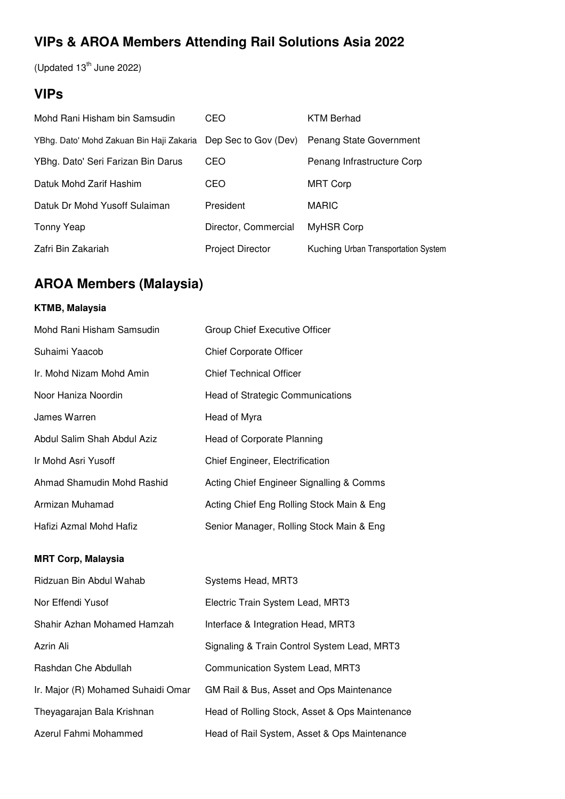# **VIPs & AROA Members Attending Rail Solutions Asia 2022**

(Updated  $13<sup>th</sup>$  June 2022)

## **VIPs**

| Mohd Rani Hisham bin Samsudin                                 | CEO                     | KTM Berhad                          |
|---------------------------------------------------------------|-------------------------|-------------------------------------|
| YBhg. Dato' Mohd Zakuan Bin Haji Zakaria Dep Sec to Gov (Dev) |                         | Penang State Government             |
| YBhg. Dato' Seri Farizan Bin Darus                            | CEO                     | Penang Infrastructure Corp          |
| Datuk Mohd Zarif Hashim                                       | CEO                     | <b>MRT Corp</b>                     |
| Datuk Dr Mohd Yusoff Sulaiman                                 | President               | <b>MARIC</b>                        |
| Tonny Yeap                                                    | Director, Commercial    | MyHSR Corp                          |
| Zafri Bin Zakariah                                            | <b>Project Director</b> | Kuching Urban Transportation System |

## **AROA Members (Malaysia)**

## **KTMB, Malaysia**

| Mohd Rani Hisham Samsudin   | Group Chief Executive Officer             |
|-----------------------------|-------------------------------------------|
| Suhaimi Yaacob              | <b>Chief Corporate Officer</b>            |
| Ir. Mohd Nizam Mohd Amin    | <b>Chief Technical Officer</b>            |
| Noor Haniza Noordin         | <b>Head of Strategic Communications</b>   |
| James Warren                | Head of Myra                              |
| Abdul Salim Shah Abdul Aziz | Head of Corporate Planning                |
| Ir Mohd Asri Yusoff         | Chief Engineer, Electrification           |
| Ahmad Shamudin Mohd Rashid  | Acting Chief Engineer Signalling & Comms  |
| Armizan Muhamad             | Acting Chief Eng Rolling Stock Main & Eng |
| Hafizi Azmal Mohd Hafiz     | Senior Manager, Rolling Stock Main & Eng  |

### **MRT Corp, Malaysia**

| Ridzuan Bin Abdul Wahab            | Systems Head, MRT3                             |
|------------------------------------|------------------------------------------------|
| Nor Effendi Yusof                  | Electric Train System Lead, MRT3               |
| Shahir Azhan Mohamed Hamzah        | Interface & Integration Head, MRT3             |
| Azrin Ali                          | Signaling & Train Control System Lead, MRT3    |
| Rashdan Che Abdullah               | Communication System Lead, MRT3                |
| Ir. Major (R) Mohamed Suhaidi Omar | GM Rail & Bus, Asset and Ops Maintenance       |
| Theyagarajan Bala Krishnan         | Head of Rolling Stock, Asset & Ops Maintenance |
| Azerul Fahmi Mohammed              | Head of Rail System, Asset & Ops Maintenance   |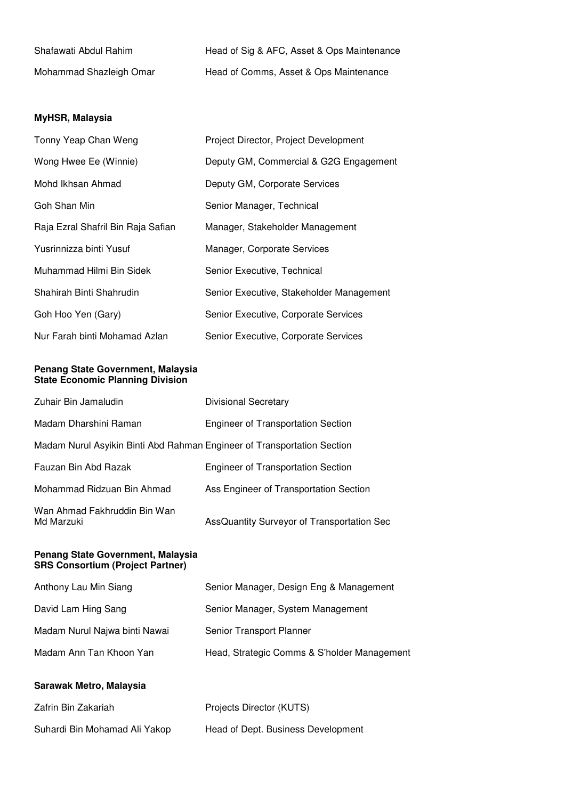| Shafawati Abdul Rahim   | Head of Sig & AFC, Asset & Ops Maintenance |
|-------------------------|--------------------------------------------|
| Mohammad Shazleigh Omar | Head of Comms, Asset & Ops Maintenance     |

### **MyHSR, Malaysia**

| Tonny Yeap Chan Weng               | Project Director, Project Development    |
|------------------------------------|------------------------------------------|
| Wong Hwee Ee (Winnie)              | Deputy GM, Commercial & G2G Engagement   |
| Mohd Ikhsan Ahmad                  | Deputy GM, Corporate Services            |
| Goh Shan Min                       | Senior Manager, Technical                |
| Raja Ezral Shafril Bin Raja Safian | Manager, Stakeholder Management          |
| Yusrinnizza binti Yusuf            | Manager, Corporate Services              |
| Muhammad Hilmi Bin Sidek           | Senior Executive, Technical              |
| Shahirah Binti Shahrudin           | Senior Executive, Stakeholder Management |
| Goh Hoo Yen (Gary)                 | Senior Executive, Corporate Services     |
| Nur Farah binti Mohamad Azlan      | Senior Executive, Corporate Services     |

#### **Penang State Government, Malaysia State Economic Planning Division**

| Zuhair Bin Jamaludin                                                    | <b>Divisional Secretary</b>                |
|-------------------------------------------------------------------------|--------------------------------------------|
| Madam Dharshini Raman                                                   | <b>Engineer of Transportation Section</b>  |
| Madam Nurul Asyikin Binti Abd Rahman Engineer of Transportation Section |                                            |
| Fauzan Bin Abd Razak                                                    | <b>Engineer of Transportation Section</b>  |
| Mohammad Ridzuan Bin Ahmad                                              | Ass Engineer of Transportation Section     |
| Wan Ahmad Fakhruddin Bin Wan<br>Md Marzuki                              | AssQuantity Surveyor of Transportation Sec |

#### **Penang State Government, Malaysia SRS Consortium (Project Partner)**

| Anthony Lau Min Siang         | Senior Manager, Design Eng & Management     |
|-------------------------------|---------------------------------------------|
| David Lam Hing Sang           | Senior Manager, System Management           |
| Madam Nurul Najwa binti Nawai | Senior Transport Planner                    |
| Madam Ann Tan Khoon Yan       | Head, Strategic Comms & S'holder Management |
|                               |                                             |

### **Sarawak Metro, Malaysia**

| Zafrin Bin Zakariah           | Projects Director (KUTS)           |
|-------------------------------|------------------------------------|
| Suhardi Bin Mohamad Ali Yakop | Head of Dept. Business Development |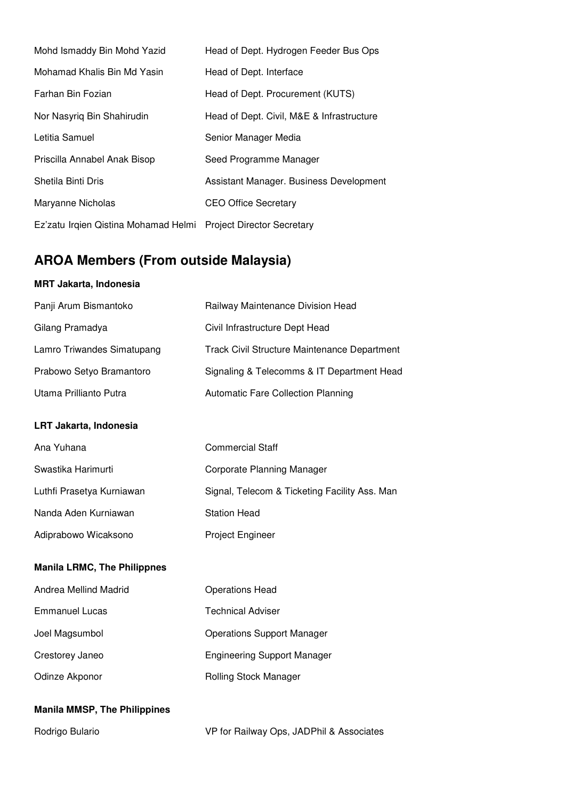| Mohd Ismaddy Bin Mohd Yazid                                     | Head of Dept. Hydrogen Feeder Bus Ops     |
|-----------------------------------------------------------------|-------------------------------------------|
| Mohamad Khalis Bin Md Yasin                                     | Head of Dept. Interface                   |
| Farhan Bin Fozian                                               | Head of Dept. Procurement (KUTS)          |
| Nor Nasyrig Bin Shahirudin                                      | Head of Dept. Civil, M&E & Infrastructure |
| Letitia Samuel                                                  | Senior Manager Media                      |
| Priscilla Annabel Anak Bisop                                    | Seed Programme Manager                    |
| Shetila Binti Dris                                              | Assistant Manager. Business Development   |
| Maryanne Nicholas                                               | <b>CEO Office Secretary</b>               |
| Ez'zatu Irgien Qistina Mohamad Helmi Project Director Secretary |                                           |

# **AROA Members (From outside Malaysia)**

### **MRT Jakarta, Indonesia**

| Panji Arum Bismantoko               | Railway Maintenance Division Head                   |
|-------------------------------------|-----------------------------------------------------|
| Gilang Pramadya                     | Civil Infrastructure Dept Head                      |
| Lamro Triwandes Simatupang          | <b>Track Civil Structure Maintenance Department</b> |
| Prabowo Setyo Bramantoro            | Signaling & Telecomms & IT Department Head          |
| Utama Prillianto Putra              | <b>Automatic Fare Collection Planning</b>           |
| LRT Jakarta, Indonesia              |                                                     |
| Ana Yuhana                          | <b>Commercial Staff</b>                             |
| Swastika Harimurti                  | <b>Corporate Planning Manager</b>                   |
| Luthfi Prasetya Kurniawan           | Signal, Telecom & Ticketing Facility Ass. Man       |
| Nanda Aden Kurniawan                | <b>Station Head</b>                                 |
| Adiprabowo Wicaksono                | Project Engineer                                    |
| <b>Manila LRMC, The Philippnes</b>  |                                                     |
| Andrea Mellind Madrid               | <b>Operations Head</b>                              |
| <b>Emmanuel Lucas</b>               | <b>Technical Adviser</b>                            |
| Joel Magsumbol                      | <b>Operations Support Manager</b>                   |
| Crestorey Janeo                     | <b>Engineering Support Manager</b>                  |
| Odinze Akponor                      | Rolling Stock Manager                               |
| <b>Manila MMSP, The Philippines</b> |                                                     |

Rodrigo Bulario **VP** for Railway Ops, JADPhil & Associates